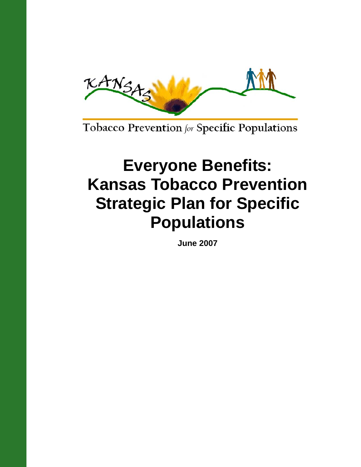

Tobacco Prevention for Specific Populations

# **Everyone Benefits: Kansas Tobacco Prevention Strategic Plan for Specific Populations**

**June 2007**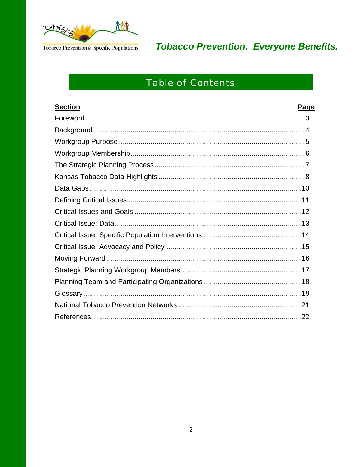

# **Table of Contents**

| <b>Section</b> | <b>Page</b> |
|----------------|-------------|
|                |             |
|                |             |
|                |             |
|                |             |
|                |             |
|                |             |
|                |             |
|                |             |
|                |             |
|                |             |
|                |             |
|                |             |
|                |             |
|                |             |
|                |             |
|                |             |
|                |             |
|                |             |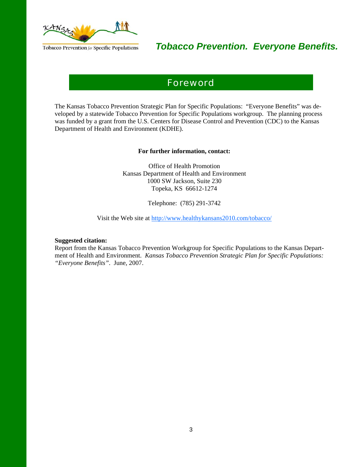

### Foreword

The Kansas Tobacco Prevention Strategic Plan for Specific Populations: "Everyone Benefits" was developed by a statewide Tobacco Prevention for Specific Populations workgroup. The planning process was funded by a grant from the U.S. Centers for Disease Control and Prevention (CDC) to the Kansas Department of Health and Environment (KDHE).

#### **For further information, contact:**

Office of Health Promotion Kansas Department of Health and Environment 1000 SW Jackson, Suite 230 Topeka, KS 66612-1274

Telephone: (785) 291-3742

Visit the Web site at http://www.healthykansans2010.com/tobacco/

#### **Suggested citation:**

Report from the Kansas Tobacco Prevention Workgroup for Specific Populations to the Kansas Department of Health and Environment. *Kansas Tobacco Prevention Strategic Plan for Specific Populations: "Everyone Benefits"*. June, 2007.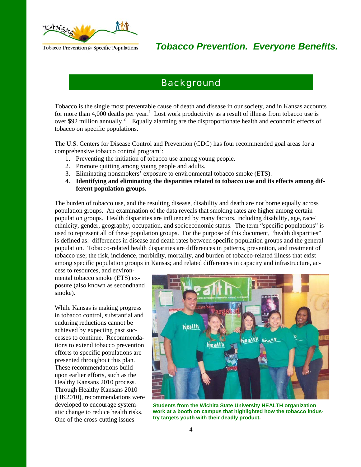

### **Background**

Tobacco is the single most preventable cause of death and disease in our society, and in Kansas accounts for more than 4,000 deaths per year.<sup>1</sup> Lost work productivity as a result of illness from tobacco use is over \$92 million annually.<sup>2</sup> Equally alarming are the disproportionate health and economic effects of tobacco on specific populations.

The U.S. Centers for Disease Control and Prevention (CDC) has four recommended goal areas for a comprehensive tobacco control program<sup>3</sup>:

- 1. Preventing the initiation of tobacco use among young people.
- 2. Promote quitting among young people and adults.
- 3. Eliminating nonsmokers' exposure to environmental tobacco smoke (ETS).
- 4. **Identifying and eliminating the disparities related to tobacco use and its effects among different population groups.**

The burden of tobacco use, and the resulting disease, disability and death are not borne equally across population groups. An examination of the data reveals that smoking rates are higher among certain population groups. Health disparities are influenced by many factors, including disability, age, race/ ethnicity, gender, geography, occupation, and socioeconomic status. The term "specific populations" is used to represent all of these population groups. For the purpose of this document, "health disparities" is defined as: differences in disease and death rates between specific population groups and the general population. Tobacco-related health disparities are differences in patterns, prevention, and treatment of tobacco use; the risk, incidence, morbidity, mortality, and burden of tobacco-related illness that exist among specific population groups in Kansas; and related differences in capacity and infrastructure, access to resources, and environ-

mental tobacco smoke (ETS) exposure (also known as secondhand smoke).

While Kansas is making progress in tobacco control, substantial and enduring reductions cannot be achieved by expecting past successes to continue. Recommendations to extend tobacco prevention efforts to specific populations are presented throughout this plan. These recommendations build upon earlier efforts, such as the Healthy Kansans 2010 process. Through Healthy Kansans 2010 (HK2010), recommendations were developed to encourage systematic change to reduce health risks. One of the cross-cutting issues



**Students from the Wichita State University HEALTH organization work at a booth on campus that highlighted how the tobacco industry targets youth with their deadly product.**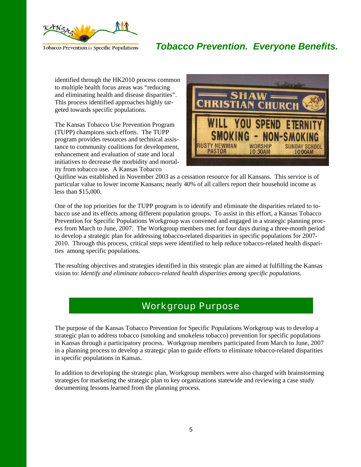

identified through the HK2010 process common to multiple health focus areas was "reducing and eliminating health and disease disparities". This process identified approaches highly targeted towards specific populations.

The Kansas Tobacco Use Prevention Program (TUPP) champions such efforts. The TUPP program provides resources and technical assistance to community coalitions for development, enhancement and evaluation of state and local initiatives to decrease the morbidity and mortality from tobacco use. A Kansas Tobacco



Quitline was established in November 2003 as a cessation resource for all Kansans. This service is of particular value to lower income Kansans; nearly 40% of all callers report their household income as less than \$15,000.

One of the top priorities for the TUPP program is to identify and eliminate the disparities related to tobacco use and its effects among different population groups. To assist in this effort, a Kansas Tobacco Prevention for Specific Populations Workgroup was convened and engaged in a strategic planning process from March to June, 2007. The Workgroup members met for four days during a three-month period to develop a strategic plan for addressing tobacco-related disparities in specific populations for 2007- 2010. Through this process, critical steps were identified to help reduce tobacco-related health disparities among specific populations.

The resulting objectives and strategies identified in this strategic plan are aimed at fulfilling the Kansas vision to: *Identify and eliminate tobacco-related health disparities among specific populations.* 

### Workgroup Purpose

The purpose of the Kansas Tobacco Prevention for Specific Populations Workgroup was to develop a strategic plan to address tobacco (smoking and smokeless tobacco) prevention for specific populations in Kansas through a participatory process. Workgroup members participated from March to June, 2007 in a planning process to develop a strategic plan to guide efforts to eliminate tobacco-related disparities in specific populations in Kansas.

In addition to developing the strategic plan, Workgroup members were also charged with brainstorming strategies for marketing the strategic plan to key organizations statewide and reviewing a case study documenting lessons learned from the planning process.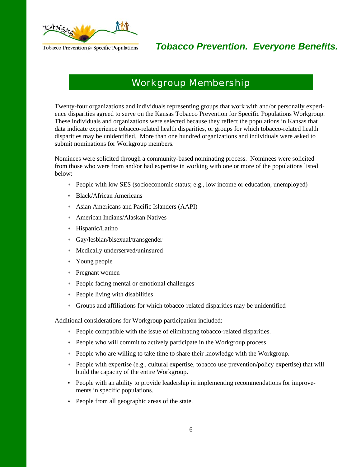

### Workgroup Membership

Twenty-four organizations and individuals representing groups that work with and/or personally experience disparities agreed to serve on the Kansas Tobacco Prevention for Specific Populations Workgroup. These individuals and organizations were selected because they reflect the populations in Kansas that data indicate experience tobacco-related health disparities, or groups for which tobacco-related health disparities may be unidentified. More than one hundred organizations and individuals were asked to submit nominations for Workgroup members.

Nominees were solicited through a community-based nominating process. Nominees were solicited from those who were from and/or had expertise in working with one or more of the populations listed below:

- ∗ People with low SES (socioeconomic status; e.g., low income or education, unemployed)
- ∗ Black/African Americans
- ∗ Asian Americans and Pacific Islanders (AAPI)
- ∗ American Indians/Alaskan Natives
- ∗ Hispanic/Latino
- ∗ Gay/lesbian/bisexual/transgender
- ∗ Medically underserved/uninsured
- ∗ Young people
- ∗ Pregnant women
- ∗ People facing mental or emotional challenges
- ∗ People living with disabilities
- ∗ Groups and affiliations for which tobacco-related disparities may be unidentified

Additional considerations for Workgroup participation included:

- ∗ People compatible with the issue of eliminating tobacco-related disparities.
- ∗ People who will commit to actively participate in the Workgroup process.
- ∗ People who are willing to take time to share their knowledge with the Workgroup.
- ∗ People with expertise (e.g., cultural expertise, tobacco use prevention/policy expertise) that will build the capacity of the entire Workgroup.
- ∗ People with an ability to provide leadership in implementing recommendations for improvements in specific populations.
- ∗ People from all geographic areas of the state.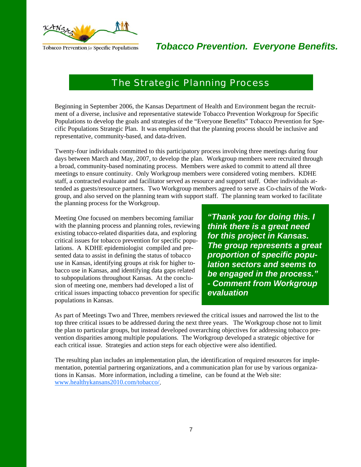

### The Strategic Planning Process

Beginning in September 2006, the Kansas Department of Health and Environment began the recruitment of a diverse, inclusive and representative statewide Tobacco Prevention Workgroup for Specific Populations to develop the goals and strategies of the "Everyone Benefits" Tobacco Prevention for Specific Populations Strategic Plan. It was emphasized that the planning process should be inclusive and representative, community-based, and data-driven.

Twenty-four individuals committed to this participatory process involving three meetings during four days between March and May, 2007, to develop the plan. Workgroup members were recruited through a broad, community-based nominating process. Members were asked to commit to attend all three meetings to ensure continuity. Only Workgroup members were considered voting members. KDHE staff, a contracted evaluator and facilitator served as resource and support staff. Other individuals attended as guests/resource partners. Two Workgroup members agreed to serve as Co-chairs of the Workgroup, and also served on the planning team with support staff. The planning team worked to facilitate the planning process for the Workgroup.

Meeting One focused on members becoming familiar with the planning process and planning roles, reviewing existing tobacco-related disparities data, and exploring critical issues for tobacco prevention for specific populations. A KDHE epidemiologist compiled and presented data to assist in defining the status of tobacco use in Kansas, identifying groups at risk for higher tobacco use in Kansas, and identifying data gaps related to subpopulations throughout Kansas. At the conclusion of meeting one, members had developed a list of critical issues impacting tobacco prevention for specific populations in Kansas.

*"Thank you for doing this. I think there is a great need for this project in Kansas. The group represents a great proportion of specific population sectors and seems to be engaged in the process." - Comment from Workgroup evaluation* 

As part of Meetings Two and Three, members reviewed the critical issues and narrowed the list to the top three critical issues to be addressed during the next three years. The Workgroup chose not to limit the plan to particular groups, but instead developed overarching objectives for addressing tobacco prevention disparities among multiple populations. The Workgroup developed a strategic objective for each critical issue. Strategies and action steps for each objective were also identified.

The resulting plan includes an implementation plan, the identification of required resources for implementation, potential partnering organizations, and a communication plan for use by various organizations in Kansas. More information, including a timeline, can be found at the Web site: www.healthykansans2010.com/tobacco/.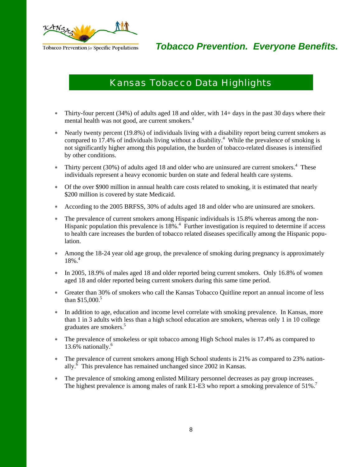

# Kansas Tobacco Data Highlights

- ∗ Thirty-four percent (34%) of adults aged 18 and older, with 14+ days in the past 30 days where their mental health was not good, are current smokers.<sup>4</sup>
- ∗ Nearly twenty percent (19.8%) of individuals living with a disability report being current smokers as compared to  $17.4\%$  of individuals living without a disability.<sup>4</sup> While the prevalence of smoking is not significantly higher among this population, the burden of tobacco-related diseases is intensified by other conditions.
- ∗ Thirty percent (30%) of adults aged 18 and older who are uninsured are current smokers.4 These individuals represent a heavy economic burden on state and federal health care systems.
- ∗ Of the over \$900 million in annual health care costs related to smoking, it is estimated that nearly \$200 million is covered by state Medicaid.
- ∗ According to the 2005 BRFSS, 30% of adults aged 18 and older who are uninsured are smokers.
- ∗ The prevalence of current smokers among Hispanic individuals is 15.8% whereas among the non-Hispanic population this prevalence is  $18\%$ <sup>4</sup>. Further investigation is required to determine if access to health care increases the burden of tobacco related diseases specifically among the Hispanic population.
- Among the 18-24 year old age group, the prevalence of smoking during pregnancy is approximately  $18\%$ <sup>4</sup>
- ∗ In 2005, 18.9% of males aged 18 and older reported being current smokers. Only 16.8% of women aged 18 and older reported being current smokers during this same time period.
- ∗ Greater than 30% of smokers who call the Kansas Tobacco Quitline report an annual income of less than  $$15,000.<sup>5</sup>$
- ∗ In addition to age, education and income level correlate with smoking prevalence. In Kansas, more than 1 in 3 adults with less than a high school education are smokers, whereas only 1 in 10 college graduates are smokers.<sup>5</sup>
- ∗ The prevalence of smokeless or spit tobacco among High School males is 17.4% as compared to 13.6% nationally.<sup>6</sup>
- ∗ The prevalence of current smokers among High School students is 21% as compared to 23% nationally. $\delta$  This prevalence has remained unchanged since 2002 in Kansas.
- ∗ The prevalence of smoking among enlisted Military personnel decreases as pay group increases. The highest prevalence is among males of rank E1-E3 who report a smoking prevalence of 51%.<sup>7</sup>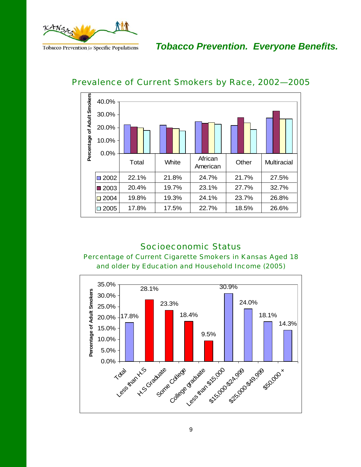

*Tobacco Prevention. Everyone Benefits.* 



#### Prevalence of Current Smokers by Race, 2002—2005

#### Socioeconomic Status

#### Percentage of Current Cigarette Smokers in Kansas Aged 18 and older by Education and Household Income (2005)

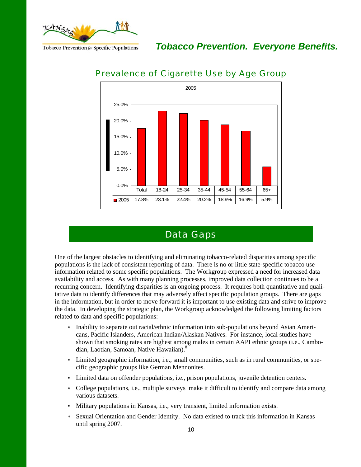

*Tobacco Prevention. Everyone Benefits.* 



#### Prevalence of Cigarette Use by Age Group

### Data Gaps

One of the largest obstacles to identifying and eliminating tobacco-related disparities among specific populations is the lack of consistent reporting of data. There is no or little state-specific tobacco use information related to some specific populations. The Workgroup expressed a need for increased data availability and access. As with many planning processes, improved data collection continues to be a recurring concern. Identifying disparities is an ongoing process. It requires both quantitative and qualitative data to identify differences that may adversely affect specific population groups. There are gaps in the information, but in order to move forward it is important to use existing data and strive to improve the data. In developing the strategic plan, the Workgroup acknowledged the following limiting factors related to data and specific populations:

- ∗ Inability to separate out racial/ethnic information into sub-populations beyond Asian Americans, Pacific Islanders, American Indian/Alaskan Natives. For instance, local studies have shown that smoking rates are highest among males in certain AAPI ethnic groups (i.e., Cambodian, Laotian, Samoan, Native Hawaiian).<sup>8</sup>
- ∗ Limited geographic information, i.e., small communities, such as in rural communities, or specific geographic groups like German Mennonites.
- ∗ Limited data on offender populations, i.e., prison populations, juvenile detention centers.
- ∗ College populations, i.e., multiple surveys make it difficult to identify and compare data among various datasets.
- ∗ Military populations in Kansas, i.e., very transient, limited information exists.
- Sexual Orientation and Gender Identity. No data existed to track this information in Kansas until spring 2007.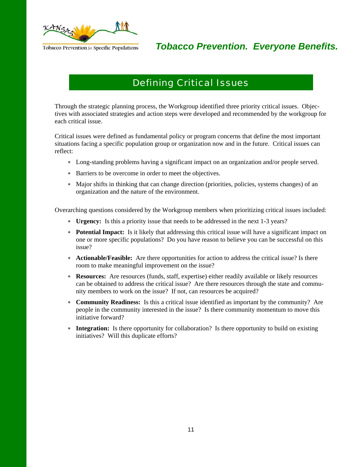

# Defining Critical Issues

Through the strategic planning process, the Workgroup identified three priority critical issues. Objectives with associated strategies and action steps were developed and recommended by the workgroup for each critical issue.

Critical issues were defined as fundamental policy or program concerns that define the most important situations facing a specific population group or organization now and in the future. Critical issues can reflect:

- ∗ Long-standing problems having a significant impact on an organization and/or people served.
- ∗ Barriers to be overcome in order to meet the objectives.
- ∗ Major shifts in thinking that can change direction (priorities, policies, systems changes) of an organization and the nature of the environment.

Overarching questions considered by the Workgroup members when prioritizing critical issues included:

- ∗ **Urgency:** Is this a priority issue that needs to be addressed in the next 1-3 years?
- ∗ **Potential Impact:** Is it likely that addressing this critical issue will have a significant impact on one or more specific populations? Do you have reason to believe you can be successful on this issue?
- ∗ **Actionable/Feasible:** Are there opportunities for action to address the critical issue? Is there room to make meaningful improvement on the issue?
- ∗ **Resources:** Are resources (funds, staff, expertise) either readily available or likely resources can be obtained to address the critical issue? Are there resources through the state and community members to work on the issue? If not, can resources be acquired?
- ∗ **Community Readiness:** Is this a critical issue identified as important by the community? Are people in the community interested in the issue? Is there community momentum to move this initiative forward?
- ∗ **Integration:** Is there opportunity for collaboration? Is there opportunity to build on existing initiatives? Will this duplicate efforts?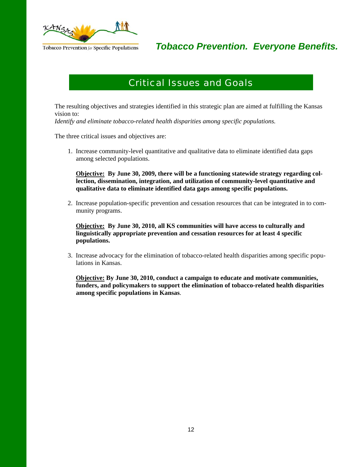

# Critical Issues and Goals

The resulting objectives and strategies identified in this strategic plan are aimed at fulfilling the Kansas vision to:

*Identify and eliminate tobacco-related health disparities among specific populations.* 

The three critical issues and objectives are:

1. Increase community-level quantitative and qualitative data to eliminate identified data gaps among selected populations.

 **Objective: By June 30, 2009, there will be a functioning statewide strategy regarding collection, dissemination, integration, and utilization of community-level quantitative and qualitative data to eliminate identified data gaps among specific populations.** 

2. Increase population-specific prevention and cessation resources that can be integrated in to community programs.

 **Objective: By June 30, 2010, all KS communities will have access to culturally and linguistically appropriate prevention and cessation resources for at least 4 specific populations.**

3. Increase advocacy for the elimination of tobacco-related health disparities among specific populations in Kansas.

 **Objective: By June 30, 2010, conduct a campaign to educate and motivate communities, funders, and policymakers to support the elimination of tobacco-related health disparities among specific populations in Kansas**.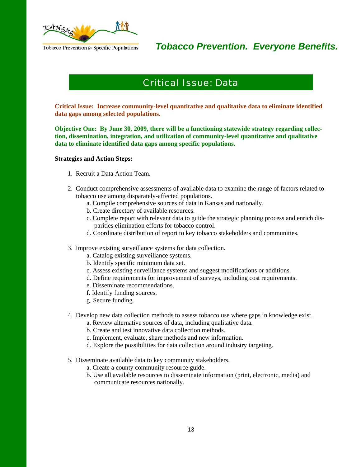

### Critical Issue: Data

**Critical Issue: Increase community-level quantitative and qualitative data to eliminate identified data gaps among selected populations.** 

**Objective One: By June 30, 2009, there will be a functioning statewide strategy regarding collection, dissemination, integration, and utilization of community-level quantitative and qualitative data to eliminate identified data gaps among specific populations.** 

#### **Strategies and Action Steps:**

- 1. Recruit a Data Action Team.
- 2. Conduct comprehensive assessments of available data to examine the range of factors related to tobacco use among disparately-affected populations.
	- a. Compile comprehensive sources of data in Kansas and nationally.
	- b. Create directory of available resources.
	- c. Complete report with relevant data to guide the strategic planning process and enrich disparities elimination efforts for tobacco control.
	- d. Coordinate distribution of report to key tobacco stakeholders and communities.
- 3. Improve existing surveillance systems for data collection.
	- a. Catalog existing surveillance systems.
	- b. Identify specific minimum data set.
	- c. Assess existing surveillance systems and suggest modifications or additions.
	- d. Define requirements for improvement of surveys, including cost requirements.
	- e. Disseminate recommendations.
	- f. Identify funding sources.
	- g. Secure funding.
- 4. Develop new data collection methods to assess tobacco use where gaps in knowledge exist.
	- a. Review alternative sources of data, including qualitative data.
	- b. Create and test innovative data collection methods.
	- c. Implement, evaluate, share methods and new information.
	- d. Explore the possibilities for data collection around industry targeting.
- 5. Disseminate available data to key community stakeholders.
	- a. Create a county community resource guide.
	- b. Use all available resources to disseminate information (print, electronic, media) and communicate resources nationally.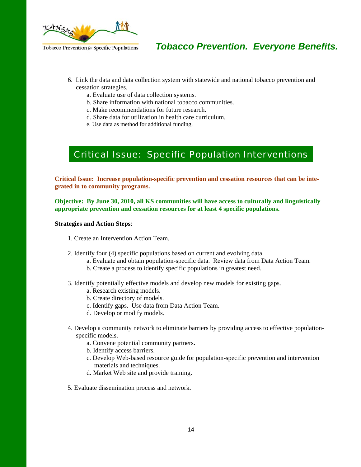

- 6. Link the data and data collection system with statewide and national tobacco prevention and cessation strategies.
	- a. Evaluate use of data collection systems.
	- b. Share information with national tobacco communities.
	- c. Make recommendations for future research.
	- d. Share data for utilization in health care curriculum.
	- e. Use data as method for additional funding.

### Critical Issue: Specific Population Interventions

**Critical Issue: Increase population-specific prevention and cessation resources that can be integrated in to community programs.** 

**Objective: By June 30, 2010, all KS communities will have access to culturally and linguistically appropriate prevention and cessation resources for at least 4 specific populations.** 

**Strategies and Action Steps**:

- 1. Create an Intervention Action Team.
- 2. Identify four (4) specific populations based on current and evolving data.
	- a. Evaluate and obtain population-specific data. Review data from Data Action Team.
	- b. Create a process to identify specific populations in greatest need.
- 3. Identify potentially effective models and develop new models for existing gaps.
	- a. Research existing models.
	- b. Create directory of models.
	- c. Identify gaps. Use data from Data Action Team.
	- d. Develop or modify models.
- 4. Develop a community network to eliminate barriers by providing access to effective populationspecific models.
	- a. Convene potential community partners.
	- b. Identify access barriers.
	- c. Develop Web-based resource guide for population-specific prevention and intervention materials and techniques.
	- d. Market Web site and provide training.
- 5. Evaluate dissemination process and network.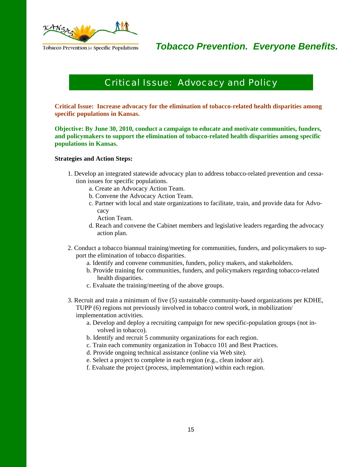

### Critical Issue: Advocacy and Policy

**Critical Issue: Increase advocacy for the elimination of tobacco-related health disparities among specific populations in Kansas.** 

**Objective: By June 30, 2010, conduct a campaign to educate and motivate communities, funders, and policymakers to support the elimination of tobacco-related health disparities among specific populations in Kansas.** 

#### **Strategies and Action Steps:**

- 1. Develop an integrated statewide advocacy plan to address tobacco-related prevention and cessation issues for specific populations.
	- a. Create an Advocacy Action Team.
	- b. Convene the Advocacy Action Team.
	- c. Partner with local and state organizations to facilitate, train, and provide data for Advocacy
		- Action Team.
	- d. Reach and convene the Cabinet members and legislative leaders regarding the advocacy action plan.
- 2. Conduct a tobacco biannual training/meeting for communities, funders, and policymakers to support the elimination of tobacco disparities.
	- a. Identify and convene communities, funders, policy makers, and stakeholders.
	- b. Provide training for communities, funders, and policymakers regarding tobacco-related health disparities.
	- c. Evaluate the training/meeting of the above groups.
- 3. Recruit and train a minimum of five (5) sustainable community-based organizations per KDHE, TUPP (6) regions not previously involved in tobacco control work, in mobilization/ implementation activities.
	- a. Develop and deploy a recruiting campaign for new specific-population groups (not involved in tobacco).
	- b. Identify and recruit 5 community organizations for each region.
	- c. Train each community organization in Tobacco 101 and Best Practices.
	- d. Provide ongoing technical assistance (online via Web site).
	- e. Select a project to complete in each region (e.g., clean indoor air).
	- f. Evaluate the project (process, implementation) within each region.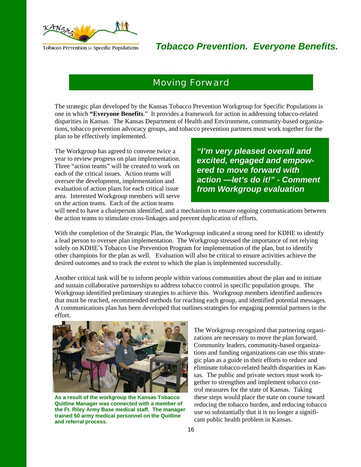

#### Moving Forward

The strategic plan developed by the Kansas Tobacco Prevention Workgroup for Specific Populations is one in which **"Everyone Benefits**." It provides a framework for action in addressing tobacco-related disparities in Kansas. The Kansas Department of Health and Environment, community-based organizations, tobacco prevention advocacy groups, and tobacco prevention partners must work together for the plan to be effectively implemented.

The Workgroup has agreed to convene twice a year to review progress on plan implementation. Three "action teams" will be created to work on each of the critical issues. Action teams will oversee the development, implementation and evaluation of action plans for each critical issue area. Interested Workgroup members will serve on the action teams. Each of the action teams

*"I'm very pleased overall and excited, engaged and empowered to move forward with action —let's do it!" - Comment from Workgroup evaluation* 

will need to have a chairperson identified, and a mechanism to ensure ongoing communications between the action teams to stimulate cross-linkages and prevent duplication of efforts.

With the completion of the Strategic Plan, the Workgroup indicated a strong need for KDHE to identify a lead person to oversee plan implementation. The Workgroup stressed the importance of not relying solely on KDHE's Tobacco Use Prevention Program for implementation of the plan, but to identify other champions for the plan as well. Evaluation will also be critical to ensure activities achieve the desired outcomes and to track the extent to which the plan is implemented successfully.

Another critical task will be to inform people within various communities about the plan and to initiate and sustain collaborative partnerships to address tobacco control in specific population groups. The Workgroup identified preliminary strategies to achieve this. Workgroup members identified audiences that must be reached, recommended methods for reaching each group, and identified potential messages. A communications plan has been developed that outlines strategies for engaging potential partners in the effort.



**As a result of the workgroup the Kansas Tobacco Quitline Manager was connected with a member of the Ft. Riley Army Base medical staff. The manager trained 50 army medical personnel on the Quitline and referral process.** 

The Workgroup recognized that partnering organizations are necessary to move the plan forward. Community leaders, community-based organizations and funding organizations can use this strategic plan as a guide in their efforts to reduce and eliminate tobacco-related health disparities in Kansas. The public and private sectors must work together to strengthen and implement tobacco control measures for the state of Kansas. Taking these steps would place the state on course toward reducing the tobacco burden, and reducing tobacco use so substantially that it is no longer a significant public health problem in Kansas.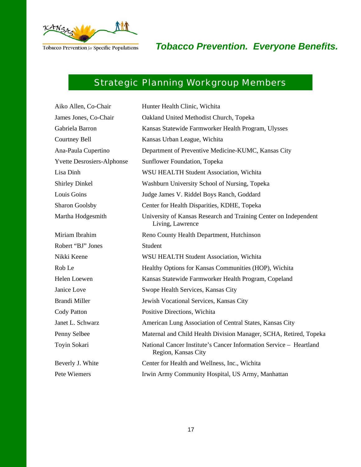

# Strategic Planning Workgroup Members

| Aiko Allen, Co-Chair              | Hunter Health Clinic, Wichita                                                             |
|-----------------------------------|-------------------------------------------------------------------------------------------|
| James Jones, Co-Chair             | Oakland United Methodist Church, Topeka                                                   |
| Gabriela Barron                   | Kansas Statewide Farmworker Health Program, Ulysses                                       |
| Courtney Bell                     | Kansas Urban League, Wichita                                                              |
| Ana-Paula Cupertino               | Department of Preventive Medicine-KUMC, Kansas City                                       |
| <b>Yvette Desrosiers-Alphonse</b> | Sunflower Foundation, Topeka                                                              |
| Lisa Dinh                         | WSU HEALTH Student Association, Wichita                                                   |
| <b>Shirley Dinkel</b>             | Washburn University School of Nursing, Topeka                                             |
| Louis Goins                       | Judge James V. Riddel Boys Ranch, Goddard                                                 |
| <b>Sharon Goolsby</b>             | Center for Health Disparities, KDHE, Topeka                                               |
| Martha Hodgesmith                 | University of Kansas Research and Training Center on Independent<br>Living, Lawrence      |
| Miriam Ibrahim                    | Reno County Health Department, Hutchinson                                                 |
| Robert "BJ" Jones                 | Student                                                                                   |
| Nikki Keene                       | WSU HEALTH Student Association, Wichita                                                   |
| Rob Le                            | Healthy Options for Kansas Communities (HOP), Wichita                                     |
| Helen Loewen                      | Kansas Statewide Farmworker Health Program, Copeland                                      |
| Janice Love                       | Swope Health Services, Kansas City                                                        |
| <b>Brandi Miller</b>              | Jewish Vocational Services, Kansas City                                                   |
| Cody Patton                       | Positive Directions, Wichita                                                              |
| Janet L. Schwarz                  | American Lung Association of Central States, Kansas City                                  |
| Penny Selbee                      | Maternal and Child Health Division Manager, SCHA, Retired, Topeka                         |
| Toyin Sokari                      | National Cancer Institute's Cancer Information Service - Heartland<br>Region, Kansas City |
| Beverly J. White                  | Center for Health and Wellness, Inc., Wichita                                             |
| Pete Wiemers                      | Irwin Army Community Hospital, US Army, Manhattan                                         |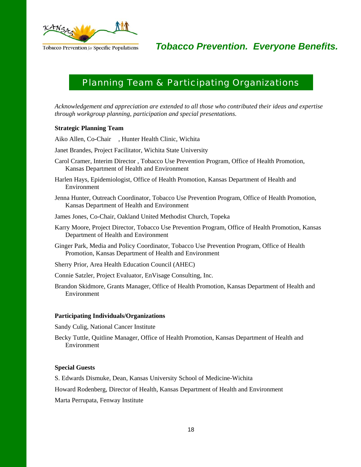

### Planning Team & Participating Organizations

*Acknowledgement and appreciation are extended to all those who contributed their ideas and expertise through workgroup planning, participation and special presentations.* 

#### **Strategic Planning Team**

Aiko Allen, Co-Chair , Hunter Health Clinic, Wichita

Janet Brandes, Project Facilitator, Wichita State University

Carol Cramer, Interim Director , Tobacco Use Prevention Program, Office of Health Promotion, Kansas Department of Health and Environment

Harlen Hays, Epidemiologist, Office of Health Promotion, Kansas Department of Health and Environment

Jenna Hunter, Outreach Coordinator, Tobacco Use Prevention Program, Office of Health Promotion, Kansas Department of Health and Environment

James Jones, Co-Chair, Oakland United Methodist Church, Topeka

Karry Moore, Project Director, Tobacco Use Prevention Program, Office of Health Promotion, Kansas Department of Health and Environment

Ginger Park, Media and Policy Coordinator, Tobacco Use Prevention Program, Office of Health Promotion, Kansas Department of Health and Environment

Sherry Prior, Area Health Education Council (AHEC)

Connie Satzler, Project Evaluator, EnVisage Consulting, Inc.

Brandon Skidmore, Grants Manager, Office of Health Promotion, Kansas Department of Health and Environment

#### **Participating Individuals/Organizations**

Sandy Culig, National Cancer Institute

Becky Tuttle, Quitline Manager, Office of Health Promotion, Kansas Department of Health and Environment

#### **Special Guests**

S. Edwards Dismuke, Dean, Kansas University School of Medicine-Wichita

Howard Rodenberg, Director of Health, Kansas Department of Health and Environment

Marta Perrupata, Fenway Institute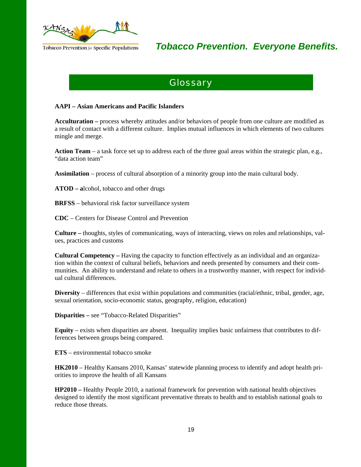

### **Glossary**

#### **AAPI – Asian Americans and Pacific Islanders**

**Acculturation –** process whereby attitudes and/or behaviors of people from one culture are modified as a result of contact with a different culture. Implies mutual influences in which elements of two cultures mingle and merge.

**Action Team** – a task force set up to address each of the three goal areas within the strategic plan, e.g., "data action team"

**Assimilation** – process of cultural absorption of a minority group into the main cultural body.

**ATOD – a**lcohol, tobacco and other drugs

**BRFSS** – behavioral risk factor surveillance system

**CDC** – Centers for Disease Control and Prevention

**Culture –** thoughts, styles of communicating, ways of interacting, views on roles and relationships, values, practices and customs

**Cultural Competency –** Having the capacity to function effectively as an individual and an organization within the context of cultural beliefs, behaviors and needs presented by consumers and their communities. An ability to understand and relate to others in a trustworthy manner, with respect for individual cultural differences.

**Diversity** – differences that exist within populations and communities (racial/ethnic, tribal, gender, age, sexual orientation, socio-economic status, geography, religion, education)

**Disparities –** see "Tobacco-Related Disparities"

**Equity** – exists when disparities are absent. Inequality implies basic unfairness that contributes to differences between groups being compared.

**ETS** – environmental tobacco smoke

**HK2010** – Healthy Kansans 2010, Kansas' statewide planning process to identify and adopt health priorities to improve the health of all Kansans

**HP2010 –** Healthy People 2010, a national framework for prevention with national health objectives designed to identify the most significant preventative threats to health and to establish national goals to reduce those threats.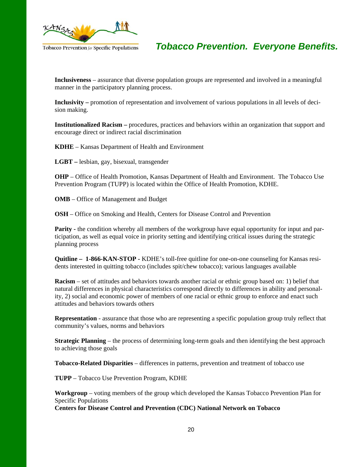

**Inclusiveness** – assurance that diverse population groups are represented and involved in a meaningful manner in the participatory planning process.

**Inclusivity –** promotion of representation and involvement of various populations in all levels of decision making.

**Institutionalized Racism –** procedures, practices and behaviors within an organization that support and encourage direct or indirect racial discrimination

**KDHE** – Kansas Department of Health and Environment

**LGBT –** lesbian, gay, bisexual, transgender

**OHP** – Office of Health Promotion, Kansas Department of Health and Environment. The Tobacco Use Prevention Program (TUPP) is located within the Office of Health Promotion, KDHE.

**OMB** – Office of Management and Budget

**OSH** – Office on Smoking and Health, Centers for Disease Control and Prevention

**Parity -** the condition whereby all members of the workgroup have equal opportunity for input and participation, as well as equal voice in priority setting and identifying critical issues during the strategic planning process

**Quitline – 1-866-KAN-STOP -** KDHE's toll-free quitline for one-on-one counseling for Kansas residents interested in quitting tobacco (includes spit/chew tobacco); various languages available

**Racism** – set of attitudes and behaviors towards another racial or ethnic group based on: 1) belief that natural differences in physical characteristics correspond directly to differences in ability and personality, 2) social and economic power of members of one racial or ethnic group to enforce and enact such attitudes and behaviors towards others

**Representation** - assurance that those who are representing a specific population group truly reflect that community's values, norms and behaviors

**Strategic Planning** – the process of determining long-term goals and then identifying the best approach to achieving those goals

**Tobacco-Related Disparities** – differences in patterns, prevention and treatment of tobacco use

**TUPP** – Tobacco Use Prevention Program, KDHE

**Workgroup** – voting members of the group which developed the Kansas Tobacco Prevention Plan for Specific Populations

**Centers for Disease Control and Prevention (CDC) National Network on Tobacco**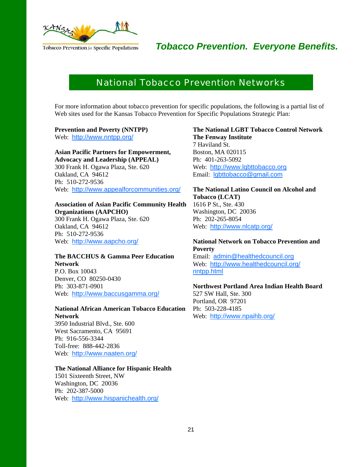

### National Tobacco Prevention Networks

For more information about tobacco prevention for specific populations, the following is a partial list of Web sites used for the Kansas Tobacco Prevention for Specific Populations Strategic Plan:

#### **Prevention and Poverty (NNTPP)**

Web: http://www.nntpp.org/

#### **Asian Pacific Partners for Empowerment, Advocacy and Leadership (APPEAL)**  300 Frank H. Ogawa Plaza, Ste. 620 Oakland, CA 94612 Ph: 510-272-9536 Web: http://www.appealforcommunities.org/

#### **Association of Asian Pacific Community Health**

**Organizations (AAPCHO)**  300 Frank H. Ogawa Plaza, Ste. 620 Oakland, CA 94612 Ph: 510-272-9536 Web: http://www.aapcho.org/

#### **The BACCHUS & Gamma Peer Education Network**  P.O. Box 10043

Denver, CO 80250-0430 Ph: 303-871-0901 Web: http://www.baccusgamma.org/

#### **National African American Tobacco Education Network**

3950 Industrial Blvd., Ste. 600 West Sacramento, CA 95691 Ph: 916-556-3344 Toll-free: 888-442-2836 Web: http://www.naaten.org/

#### **The National Alliance for Hispanic Health**

1501 Sixteenth Street, NW Washington, DC 20036 Ph: 202-387-5000 Web: http://www.hispanichealth.org/

#### **The National LGBT Tobacco Control Network The Fenway Institute**

7 Haviland St. Boston, MA 020115 Ph: 401-263-5092 Web: http://www.lgbttobacco.org Email: lgbttobacco@gmail.com

#### **The National Latino Council on Alcohol and Tobacco (LCAT)**  1616 P St., Ste. 430

Washington, DC 20036 Ph: 202-265-8054 Web: http://www.nlcatp.org/

#### **National Network on Tobacco Prevention and Poverty**

Email: admin@healthedcouncil.org Web: http://www.healthedcouncil.org/ nntpp.html

#### **Northwest Portland Area Indian Health Board**

527 SW Hall, Ste. 300 Portland, OR 97201 Ph: 503-228-4185 Web: http://www.npaihb.org/